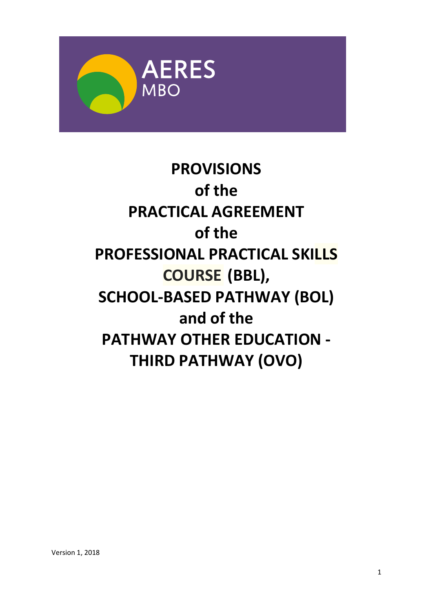

# **PROVISIONS of the PRACTICAL AGREEMENT of the PROFESSIONAL PRACTICAL SKILLS COURSE (BBL), SCHOOL-BASED PATHWAY (BOL) and of the PATHWAY OTHER EDUCATION - THIRD PATHWAY (OVO)**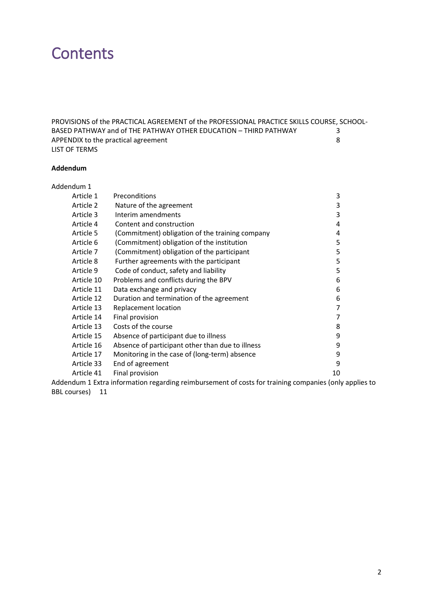## **Contents**

[PROVISIONS of the PRACTICAL AGREEMENT of the PROFESSIONAL PRACTICE SKILLS COURSE, SCHOOL-](#page-2-0)[BASED PATHWAY and of THE PATHWAY OTHER EDUCATION](#page-2-0) – THIRD PATHWAY 3<br>APPENDIX to the practical agreement [APPENDIX to the practical agreement](#page-7-0) LIST OF TERMS

#### **Addendum**

| Addendum 1 |                                                  |    |
|------------|--------------------------------------------------|----|
| Article 1  | Preconditions                                    | 3  |
| Article 2  | Nature of the agreement                          | 3  |
| Article 3  | Interim amendments                               | 3  |
| Article 4  | Content and construction                         | 4  |
| Article 5  | (Commitment) obligation of the training company  | 4  |
| Article 6  | (Commitment) obligation of the institution       | 5  |
| Article 7  | (Commitment) obligation of the participant       | 5  |
| Article 8  | Further agreements with the participant          | 5  |
| Article 9  | Code of conduct, safety and liability            | 5  |
| Article 10 | Problems and conflicts during the BPV            | 6  |
| Article 11 | Data exchange and privacy                        | 6  |
| Article 12 | Duration and termination of the agreement        | 6  |
| Article 13 | Replacement location                             | 7  |
| Article 14 | Final provision                                  | 7  |
| Article 13 | Costs of the course                              | 8  |
| Article 15 | Absence of participant due to illness            | 9  |
| Article 16 | Absence of participant other than due to illness | 9  |
| Article 17 | Monitoring in the case of (long-term) absence    | 9  |
| Article 33 | End of agreement                                 | 9  |
| Article 41 | Final provision                                  | 10 |
|            | $\sim$ $\sim$<br>.                               |    |

[Addendum 1 Extra information regarding reimbursement of costs for training companies \(only applies to](#page-10-0)  [BBL courses\)](#page-10-0) 11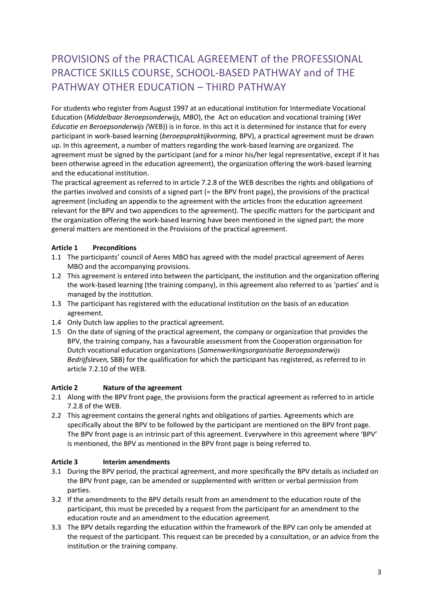### <span id="page-2-0"></span>PROVISIONS of the PRACTICAL AGREEMENT of the PROFESSIONAL PRACTICE SKILLS COURSE, SCHOOL-BASED PATHWAY and of THE PATHWAY OTHER EDUCATION – THIRD PATHWAY

For students who register from August 1997 at an educational institution for Intermediate Vocational Education (*Middelbaar Beroepsonderwijs, MBO*), the Act on education and vocational training (*Wet Educatie en Beroepsonderwijs (*WEB)) is in force. In this act it is determined for instance that for every participant in work-based learning (*beroepspraktijkvorming,* BPV), a practical agreement must be drawn up. In this agreement, a number of matters regarding the work-based learning are organized. The agreement must be signed by the participant (and for a minor his/her legal representative, except if it has been otherwise agreed in the education agreement), the organization offering the work-based learning and the educational institution.

The practical agreement as referred to in article 7.2.8 of the WEB describes the rights and obligations of the parties involved and consists of a signed part (= the BPV front page), the provisions of the practical agreement (including an appendix to the agreement with the articles from the education agreement relevant for the BPV and two appendices to the agreement). The specific matters for the participant and the organization offering the work-based learning have been mentioned in the signed part; the more general matters are mentioned in the Provisions of the practical agreement.

#### <span id="page-2-1"></span>**Article 1 Preconditions**

- 1.1 The participants' council of Aeres MBO has agreed with the model practical agreement of Aeres MBO and the accompanying provisions.
- 1.2 This agreement is entered into between the participant, the institution and the organization offering the work-based learning (the training company), in this agreement also referred to as 'parties' and is managed by the institution.
- 1.3 The participant has registered with the educational institution on the basis of an education agreement.
- 1.4 Only Dutch law applies to the practical agreement.
- 1.5 On the date of signing of the practical agreement, the company or organization that provides the BPV, the training company, has a favourable assessment from the Cooperation organisation for Dutch vocational education organizations (*Samenwerkingsorganisatie Beroepsonderwijs Bedrijfsleven,* SBB) for the qualification for which the participant has registered, as referred to in article 7.2.10 of the WEB.

#### <span id="page-2-2"></span>**Article 2 Nature of the agreement**

- 2.1 Along with the BPV front page, the provisions form the practical agreement as referred to in article 7.2.8 of the WEB.
- 2.2 This agreement contains the general rights and obligations of parties. Agreements which are specifically about the BPV to be followed by the participant are mentioned on the BPV front page. The BPV front page is an intrinsic part of this agreement. Everywhere in this agreement where 'BPV' is mentioned, the BPV as mentioned in the BPV front page is being referred to.

#### <span id="page-2-3"></span>**Article 3 Interim amendments**

- 3.1 During the BPV period, the practical agreement, and more specifically the BPV details as included on the BPV front page, can be amended or supplemented with written or verbal permission from parties.
- 3.2 If the amendments to the BPV details result from an amendment to the education route of the participant, this must be preceded by a request from the participant for an amendment to the education route and an amendment to the education agreement.
- 3.3 The BPV details regarding the education within the framework of the BPV can only be amended at the request of the participant. This request can be preceded by a consultation, or an advice from the institution or the training company.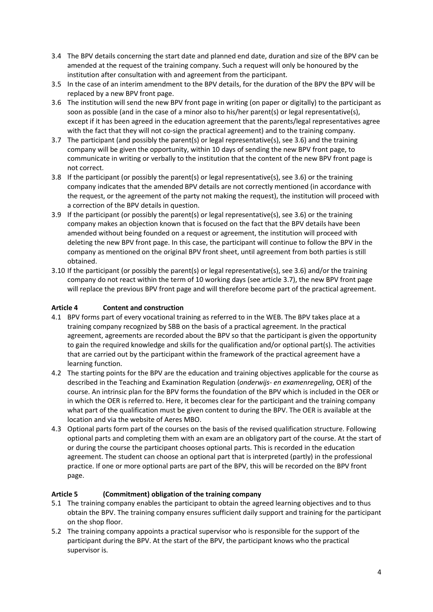- 3.4 The BPV details concerning the start date and planned end date, duration and size of the BPV can be amended at the request of the training company. Such a request will only be honoured by the institution after consultation with and agreement from the participant.
- 3.5 In the case of an interim amendment to the BPV details, for the duration of the BPV the BPV will be replaced by a new BPV front page.
- 3.6 The institution will send the new BPV front page in writing (on paper or digitally) to the participant as soon as possible (and in the case of a minor also to his/her parent(s) or legal representative(s), except if it has been agreed in the education agreement that the parents/legal representatives agree with the fact that they will not co-sign the practical agreement) and to the training company.
- 3.7 The participant (and possibly the parent(s) or legal representative(s), see 3.6) and the training company will be given the opportunity, within 10 days of sending the new BPV front page, to communicate in writing or verbally to the institution that the content of the new BPV front page is not correct.
- 3.8 If the participant (or possibly the parent(s) or legal representative(s), see 3.6) or the training company indicates that the amended BPV details are not correctly mentioned (in accordance with the request, or the agreement of the party not making the request), the institution will proceed with a correction of the BPV details in question.
- 3.9 If the participant (or possibly the parent(s) or legal representative(s), see 3.6) or the training company makes an objection known that is focused on the fact that the BPV details have been amended without being founded on a request or agreement, the institution will proceed with deleting the new BPV front page. In this case, the participant will continue to follow the BPV in the company as mentioned on the original BPV front sheet, until agreement from both parties is still obtained.
- 3.10 If the participant (or possibly the parent(s) or legal representative(s), see 3.6) and/or the training company do not react within the term of 10 working days (see article 3.7), the new BPV front page will replace the previous BPV front page and will therefore become part of the practical agreement.

#### <span id="page-3-0"></span>**Article 4 Content and construction**

- 4.1 BPV forms part of every vocational training as referred to in the WEB. The BPV takes place at a training company recognized by SBB on the basis of a practical agreement. In the practical agreement, agreements are recorded about the BPV so that the participant is given the opportunity to gain the required knowledge and skills for the qualification and/or optional part(s). The activities that are carried out by the participant within the framework of the practical agreement have a learning function.
- 4.2 The starting points for the BPV are the education and training objectives applicable for the course as described in the Teaching and Examination Regulation (*onderwijs- en examenregeling*, OER) of the course. An intrinsic plan for the BPV forms the foundation of the BPV which is included in the OER or in which the OER is referred to. Here, it becomes clear for the participant and the training company what part of the qualification must be given content to during the BPV. The OER is available at the location and via the website of Aeres MBO.
- 4.3 Optional parts form part of the courses on the basis of the revised qualification structure. Following optional parts and completing them with an exam are an obligatory part of the course. At the start of or during the course the participant chooses optional parts. This is recorded in the education agreement. The student can choose an optional part that is interpreted (partly) in the professional practice. If one or more optional parts are part of the BPV, this will be recorded on the BPV front page.

#### <span id="page-3-1"></span>**Article 5 (Commitment) obligation of the training company**

- 5.1 The training company enables the participant to obtain the agreed learning objectives and to thus obtain the BPV. The training company ensures sufficient daily support and training for the participant on the shop floor.
- 5.2 The training company appoints a practical supervisor who is responsible for the support of the participant during the BPV. At the start of the BPV, the participant knows who the practical supervisor is.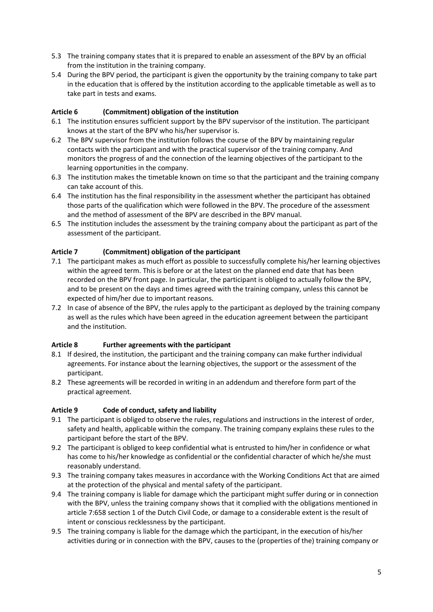- 5.3 The training company states that it is prepared to enable an assessment of the BPV by an official from the institution in the training company.
- 5.4 During the BPV period, the participant is given the opportunity by the training company to take part in the education that is offered by the institution according to the applicable timetable as well as to take part in tests and exams.

#### <span id="page-4-0"></span>**Article 6 (Commitment) obligation of the institution**

- 6.1 The institution ensures sufficient support by the BPV supervisor of the institution. The participant knows at the start of the BPV who his/her supervisor is.
- 6.2 The BPV supervisor from the institution follows the course of the BPV by maintaining regular contacts with the participant and with the practical supervisor of the training company. And monitors the progress of and the connection of the learning objectives of the participant to the learning opportunities in the company.
- 6.3 The institution makes the timetable known on time so that the participant and the training company can take account of this.
- 6.4 The institution has the final responsibility in the assessment whether the participant has obtained those parts of the qualification which were followed in the BPV. The procedure of the assessment and the method of assessment of the BPV are described in the BPV manual.
- 6.5 The institution includes the assessment by the training company about the participant as part of the assessment of the participant.

#### <span id="page-4-1"></span>**Article 7 (Commitment) obligation of the participant**

- 7.1 The participant makes as much effort as possible to successfully complete his/her learning objectives within the agreed term. This is before or at the latest on the planned end date that has been recorded on the BPV front page. In particular, the participant is obliged to actually follow the BPV, and to be present on the days and times agreed with the training company, unless this cannot be expected of him/her due to important reasons.
- 7.2 In case of absence of the BPV, the rules apply to the participant as deployed by the training company as well as the rules which have been agreed in the education agreement between the participant and the institution.

#### <span id="page-4-2"></span>**Article 8 Further agreements with the participant**

- 8.1 If desired, the institution, the participant and the training company can make further individual agreements. For instance about the learning objectives, the support or the assessment of the participant.
- 8.2 These agreements will be recorded in writing in an addendum and therefore form part of the practical agreement.

#### <span id="page-4-3"></span>**Article 9 Code of conduct, safety and liability**

- 9.1 The participant is obliged to observe the rules, regulations and instructions in the interest of order, safety and health, applicable within the company. The training company explains these rules to the participant before the start of the BPV.
- 9.2 The participant is obliged to keep confidential what is entrusted to him/her in confidence or what has come to his/her knowledge as confidential or the confidential character of which he/she must reasonably understand.
- 9.3 The training company takes measures in accordance with the Working Conditions Act that are aimed at the protection of the physical and mental safety of the participant.
- 9.4 The training company is liable for damage which the participant might suffer during or in connection with the BPV, unless the training company shows that it complied with the obligations mentioned in article 7:658 section 1 of the Dutch Civil Code, or damage to a considerable extent is the result of intent or conscious recklessness by the participant.
- 9.5 The training company is liable for the damage which the participant, in the execution of his/her activities during or in connection with the BPV, causes to the (properties of the) training company or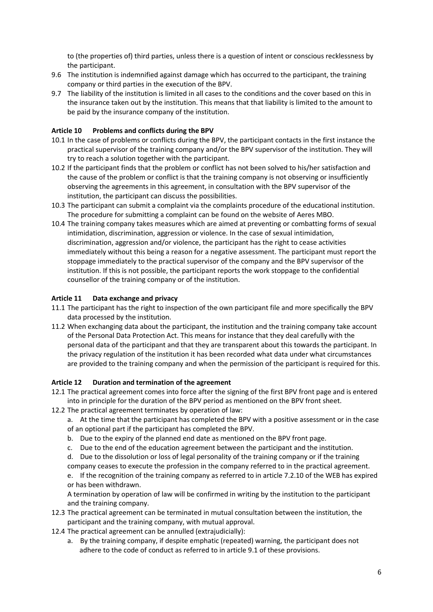to (the properties of) third parties, unless there is a question of intent or conscious recklessness by the participant.

- 9.6 The institution is indemnified against damage which has occurred to the participant, the training company or third parties in the execution of the BPV.
- 9.7 The liability of the institution is limited in all cases to the conditions and the cover based on this in the insurance taken out by the institution. This means that that liability is limited to the amount to be paid by the insurance company of the institution.

#### <span id="page-5-0"></span>**Article 10 Problems and conflicts during the BPV**

- 10.1 In the case of problems or conflicts during the BPV, the participant contacts in the first instance the practical supervisor of the training company and/or the BPV supervisor of the institution. They will try to reach a solution together with the participant.
- 10.2 If the participant finds that the problem or conflict has not been solved to his/her satisfaction and the cause of the problem or conflict is that the training company is not observing or insufficiently observing the agreements in this agreement, in consultation with the BPV supervisor of the institution, the participant can discuss the possibilities.
- 10.3 The participant can submit a complaint via the complaints procedure of the educational institution. The procedure for submitting a complaint can be found on the website of Aeres MBO.
- 10.4 The training company takes measures which are aimed at preventing or combatting forms of sexual intimidation, discrimination, aggression or violence. In the case of sexual intimidation, discrimination, aggression and/or violence, the participant has the right to cease activities immediately without this being a reason for a negative assessment. The participant must report the stoppage immediately to the practical supervisor of the company and the BPV supervisor of the institution. If this is not possible, the participant reports the work stoppage to the confidential counsellor of the training company or of the institution.

#### <span id="page-5-1"></span>**Article 11 Data exchange and privacy**

- 11.1 The participant has the right to inspection of the own participant file and more specifically the BPV data processed by the institution.
- 11.2 When exchanging data about the participant, the institution and the training company take account of the Personal Data Protection Act. This means for instance that they deal carefully with the personal data of the participant and that they are transparent about this towards the participant. In the privacy regulation of the institution it has been recorded what data under what circumstances are provided to the training company and when the permission of the participant is required for this.

#### <span id="page-5-2"></span>**Article 12 Duration and termination of the agreement**

- 12.1 The practical agreement comes into force after the signing of the first BPV front page and is entered into in principle for the duration of the BPV period as mentioned on the BPV front sheet.
- 12.2 The practical agreement terminates by operation of law:

a. At the time that the participant has completed the BPV with a positive assessment or in the case of an optional part if the participant has completed the BPV.

- b. Due to the expiry of the planned end date as mentioned on the BPV front page.
- c. Due to the end of the education agreement between the participant and the institution.
- d. Due to the dissolution or loss of legal personality of the training company or if the training company ceases to execute the profession in the company referred to in the practical agreement.

e. If the recognition of the training company as referred to in article 7.2.10 of the WEB has expired or has been withdrawn.

A termination by operation of law will be confirmed in writing by the institution to the participant and the training company.

- 12.3 The practical agreement can be terminated in mutual consultation between the institution, the participant and the training company, with mutual approval.
- 12.4 The practical agreement can be annulled (extrajudicially):
	- a. By the training company, if despite emphatic (repeated) warning, the participant does not adhere to the code of conduct as referred to in article 9.1 of these provisions.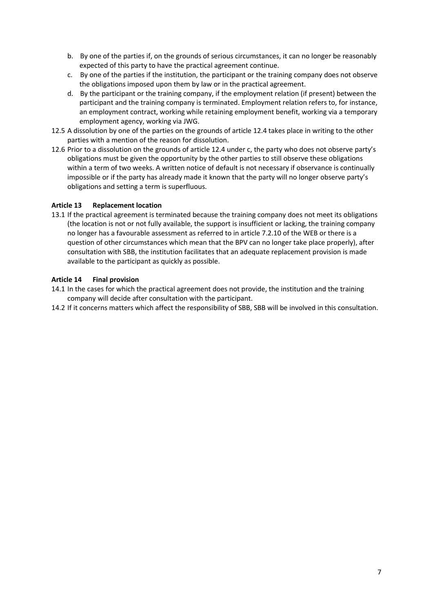- b. By one of the parties if, on the grounds of serious circumstances, it can no longer be reasonably expected of this party to have the practical agreement continue.
- c. By one of the parties if the institution, the participant or the training company does not observe the obligations imposed upon them by law or in the practical agreement.
- d. By the participant or the training company, if the employment relation (if present) between the participant and the training company is terminated. Employment relation refers to, for instance, an employment contract, working while retaining employment benefit, working via a temporary employment agency, working via JWG.
- 12.5 A dissolution by one of the parties on the grounds of article 12.4 takes place in writing to the other parties with a mention of the reason for dissolution.
- 12.6 Prior to a dissolution on the grounds of article 12.4 under c, the party who does not observe party's obligations must be given the opportunity by the other parties to still observe these obligations within a term of two weeks. A written notice of default is not necessary if observance is continually impossible or if the party has already made it known that the party will no longer observe party's obligations and setting a term is superfluous.

#### <span id="page-6-0"></span>**Article 13 Replacement location**

13.1 If the practical agreement is terminated because the training company does not meet its obligations (the location is not or not fully available, the support is insufficient or lacking, the training company no longer has a favourable assessment as referred to in article 7.2.10 of the WEB or there is a question of other circumstances which mean that the BPV can no longer take place properly), after consultation with SBB, the institution facilitates that an adequate replacement provision is made available to the participant as quickly as possible.

#### <span id="page-6-1"></span>**Article 14 Final provision**

- 14.1 In the cases for which the practical agreement does not provide, the institution and the training company will decide after consultation with the participant.
- 14.2 If it concerns matters which affect the responsibility of SBB, SBB will be involved in this consultation.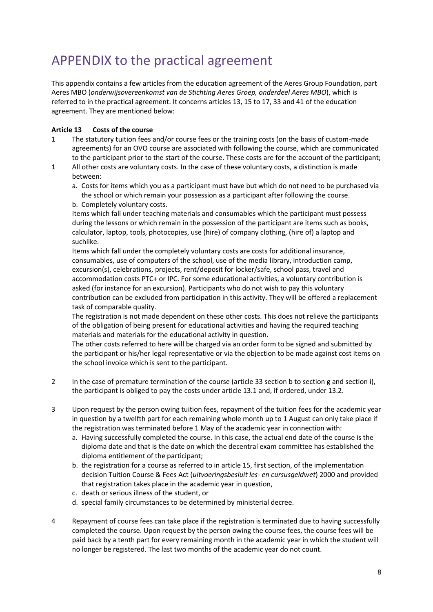### <span id="page-7-0"></span>APPENDIX to the practical agreement

This appendix contains a few articles from the education agreement of the Aeres Group Foundation, part Aeres MBO (*onderwijsovereenkomst van de Stichting Aeres Groep, onderdeel Aeres MBO*), which is referred to in the practical agreement. It concerns articles 13, 15 to 17, 33 and 41 of the education agreement. They are mentioned below:

#### <span id="page-7-1"></span>**Article 13 Costs of the course**

- 1 The statutory tuition fees and/or course fees or the training costs (on the basis of custom-made agreements) for an OVO course are associated with following the course, which are communicated to the participant prior to the start of the course. These costs are for the account of the participant;
- 1 All other costs are voluntary costs. In the case of these voluntary costs, a distinction is made between:
	- a. Costs for items which you as a participant must have but which do not need to be purchased via the school or which remain your possession as a participant after following the course. b. Completely voluntary costs.

Items which fall under teaching materials and consumables which the participant must possess during the lessons or which remain in the possession of the participant are items such as books, calculator, laptop, tools, photocopies, use (hire) of company clothing, (hire of) a laptop and suchlike.

Items which fall under the completely voluntary costs are costs for additional insurance, consumables, use of computers of the school, use of the media library, introduction camp, excursion(s), celebrations, projects, rent/deposit for locker/safe, school pass, travel and accommodation costs PTC+ or IPC. For some educational activities, a voluntary contribution is asked (for instance for an excursion). Participants who do not wish to pay this voluntary contribution can be excluded from participation in this activity. They will be offered a replacement task of comparable quality.

The registration is not made dependent on these other costs. This does not relieve the participants of the obligation of being present for educational activities and having the required teaching materials and materials for the educational activity in question.

The other costs referred to here will be charged via an order form to be signed and submitted by the participant or his/her legal representative or via the objection to be made against cost items on the school invoice which is sent to the participant.

- 2 In the case of premature termination of the course (article 33 section b to section g and section i), the participant is obliged to pay the costs under article 13.1 and, if ordered, under 13.2.
- 3 Upon request by the person owing tuition fees, repayment of the tuition fees for the academic year in question by a twelfth part for each remaining whole month up to 1 August can only take place if the registration was terminated before 1 May of the academic year in connection with:
	- a. Having successfully completed the course. In this case, the actual end date of the course is the diploma date and that is the date on which the decentral exam committee has established the diploma entitlement of the participant;
	- b. the registration for a course as referred to in article 15, first section, of the implementation decision Tuition Course & Fees Act (*uitvoeringsbesluit les- en cursusgeldwet*) 2000 and provided that registration takes place in the academic year in question,
	- c. death or serious illness of the student, or
	- d. special family circumstances to be determined by ministerial decree.
- 4 Repayment of course fees can take place if the registration is terminated due to having successfully completed the course. Upon request by the person owing the course fees, the course fees will be paid back by a tenth part for every remaining month in the academic year in which the student will no longer be registered. The last two months of the academic year do not count.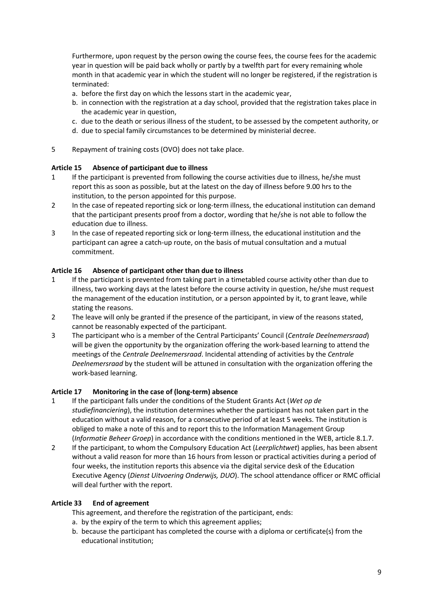Furthermore, upon request by the person owing the course fees, the course fees for the academic year in question will be paid back wholly or partly by a twelfth part for every remaining whole month in that academic year in which the student will no longer be registered, if the registration is terminated:

- a. before the first day on which the lessons start in the academic year,
- b. in connection with the registration at a day school, provided that the registration takes place in the academic year in question,
- c. due to the death or serious illness of the student, to be assessed by the competent authority, or
- d. due to special family circumstances to be determined by ministerial decree.
- 5 Repayment of training costs (OVO) does not take place.

#### <span id="page-8-0"></span>**Article 15 Absence of participant due to illness**

- 1 If the participant is prevented from following the course activities due to illness, he/she must report this as soon as possible, but at the latest on the day of illness before 9.00 hrs to the institution, to the person appointed for this purpose.
- 2 In the case of repeated reporting sick or long-term illness, the educational institution can demand that the participant presents proof from a doctor, wording that he/she is not able to follow the education due to illness.
- 3 In the case of repeated reporting sick or long-term illness, the educational institution and the participant can agree a catch-up route, on the basis of mutual consultation and a mutual commitment.

#### <span id="page-8-1"></span>**Article 16 Absence of participant other than due to illness**

- 1 If the participant is prevented from taking part in a timetabled course activity other than due to illness, two working days at the latest before the course activity in question, he/she must request the management of the education institution, or a person appointed by it, to grant leave, while stating the reasons.
- 2 The leave will only be granted if the presence of the participant, in view of the reasons stated, cannot be reasonably expected of the participant.
- 3 The participant who is a member of the Central Participants' Council (*Centrale Deelnemersraad*) will be given the opportunity by the organization offering the work-based learning to attend the meetings of the *Centrale Deelnemersraad*. Incidental attending of activities by the *Centrale Deelnemersraad* by the student will be attuned in consultation with the organization offering the work-based learning.

#### <span id="page-8-2"></span>**Article 17 Monitoring in the case of (long-term) absence**

- 1 If the participant falls under the conditions of the Student Grants Act (*Wet op de studiefinanciering*), the institution determines whether the participant has not taken part in the education without a valid reason, for a consecutive period of at least 5 weeks. The institution is obliged to make a note of this and to report this to the Information Management Group (*Informatie Beheer Groep*) in accordance with the conditions mentioned in the WEB, article 8.1.7.
- 2 If the participant, to whom the Compulsory Education Act (*Leerplichtwet*) applies, has been absent without a valid reason for more than 16 hours from lesson or practical activities during a period of four weeks, the institution reports this absence via the digital service desk of the Education Executive Agency (*Dienst Uitvoering Onderwijs, DUO*). The school attendance officer or RMC official will deal further with the report.

#### <span id="page-8-3"></span>**Article 33 End of agreement**

This agreement, and therefore the registration of the participant, ends:

- a. by the expiry of the term to which this agreement applies;
- b. because the participant has completed the course with a diploma or certificate(s) from the educational institution;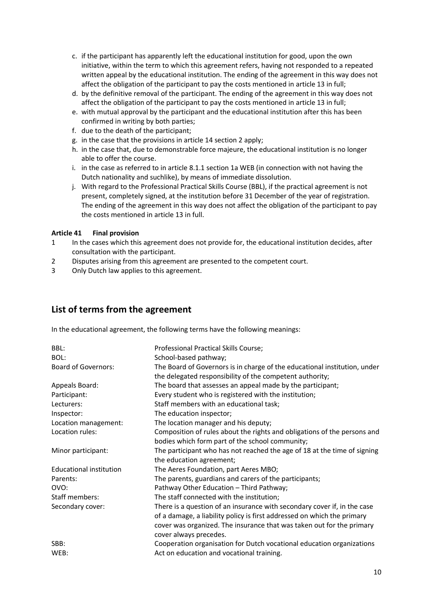- c. if the participant has apparently left the educational institution for good, upon the own initiative, within the term to which this agreement refers, having not responded to a repeated written appeal by the educational institution. The ending of the agreement in this way does not affect the obligation of the participant to pay the costs mentioned in article 13 in full;
- d. by the definitive removal of the participant. The ending of the agreement in this way does not affect the obligation of the participant to pay the costs mentioned in article 13 in full;
- e. with mutual approval by the participant and the educational institution after this has been confirmed in writing by both parties;
- f. due to the death of the participant;
- g. in the case that the provisions in article 14 section 2 apply;
- h. in the case that, due to demonstrable force majeure, the educational institution is no longer able to offer the course.
- i. in the case as referred to in article 8.1.1 section 1a WEB (in connection with not having the Dutch nationality and suchlike), by means of immediate dissolution.
- j. With regard to the Professional Practical Skills Course (BBL), if the practical agreement is not present, completely signed, at the institution before 31 December of the year of registration. The ending of the agreement in this way does not affect the obligation of the participant to pay the costs mentioned in article 13 in full.

#### <span id="page-9-0"></span>**Article 41 Final provision**

- 1 In the cases which this agreement does not provide for, the educational institution decides, after consultation with the participant.
- 2 Disputes arising from this agreement are presented to the competent court.
- 3 Only Dutch law applies to this agreement.

### **List of terms from the agreement**

In the educational agreement, the following terms have the following meanings:

| BBL:                           | Professional Practical Skills Course;                                     |  |
|--------------------------------|---------------------------------------------------------------------------|--|
| BOL:                           | School-based pathway;                                                     |  |
| <b>Board of Governors:</b>     | The Board of Governors is in charge of the educational institution, under |  |
|                                | the delegated responsibility of the competent authority;                  |  |
| Appeals Board:                 | The board that assesses an appeal made by the participant;                |  |
| Participant:                   | Every student who is registered with the institution;                     |  |
| Lecturers:                     | Staff members with an educational task;                                   |  |
| Inspector:                     | The education inspector;                                                  |  |
| Location management:           | The location manager and his deputy;                                      |  |
| Location rules:                | Composition of rules about the rights and obligations of the persons and  |  |
|                                | bodies which form part of the school community;                           |  |
| Minor participant:             | The participant who has not reached the age of 18 at the time of signing  |  |
|                                | the education agreement;                                                  |  |
| <b>Educational institution</b> | The Aeres Foundation, part Aeres MBO;                                     |  |
| Parents:                       | The parents, guardians and carers of the participants;                    |  |
| OVO:                           | Pathway Other Education - Third Pathway;                                  |  |
| Staff members:                 | The staff connected with the institution;                                 |  |
| Secondary cover:               | There is a question of an insurance with secondary cover if, in the case  |  |
|                                | of a damage, a liability policy is first addressed on which the primary   |  |
|                                | cover was organized. The insurance that was taken out for the primary     |  |
|                                | cover always precedes.                                                    |  |
| SBB:                           | Cooperation organisation for Dutch vocational education organizations     |  |
| WEB:                           | Act on education and vocational training.                                 |  |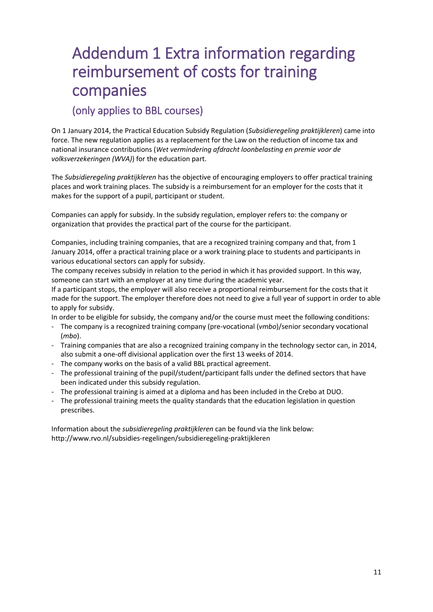## <span id="page-10-0"></span>Addendum 1 Extra information regarding reimbursement of costs for training companies

### (only applies to BBL courses)

On 1 January 2014, the Practical Education Subsidy Regulation (*Subsidieregeling praktijkleren*) came into force. The new regulation applies as a replacement for the Law on the reduction of income tax and national insurance contributions (*Wet vermindering afdracht loonbelasting en premie voor de volksverzekeringen (WVA)*) for the education part.

The *Subsidieregeling praktijkleren* has the objective of encouraging employers to offer practical training places and work training places. The subsidy is a reimbursement for an employer for the costs that it makes for the support of a pupil, participant or student.

Companies can apply for subsidy. In the subsidy regulation, employer refers to: the company or organization that provides the practical part of the course for the participant.

Companies, including training companies, that are a recognized training company and that, from 1 January 2014, offer a practical training place or a work training place to students and participants in various educational sectors can apply for subsidy.

The company receives subsidy in relation to the period in which it has provided support. In this way, someone can start with an employer at any time during the academic year.

If a participant stops, the employer will also receive a proportional reimbursement for the costs that it made for the support. The employer therefore does not need to give a full year of support in order to able to apply for subsidy.

In order to be eligible for subsidy, the company and/or the course must meet the following conditions:

- The company is a recognized training company (pre-vocational (*vmbo*)/senior secondary vocational (*mbo*).
- Training companies that are also a recognized training company in the technology sector can, in 2014, also submit a one-off divisional application over the first 13 weeks of 2014.
- The company works on the basis of a valid BBL practical agreement.
- The professional training of the pupil/student/participant falls under the defined sectors that have been indicated under this subsidy regulation.
- The professional training is aimed at a diploma and has been included in the Crebo at DUO.
- The professional training meets the quality standards that the education legislation in question prescribes.

Information about the *subsidieregeling praktijkleren* can be found via the link below: <http://www.rvo.nl/subsidies-regelingen/subsidieregeling-praktijkleren>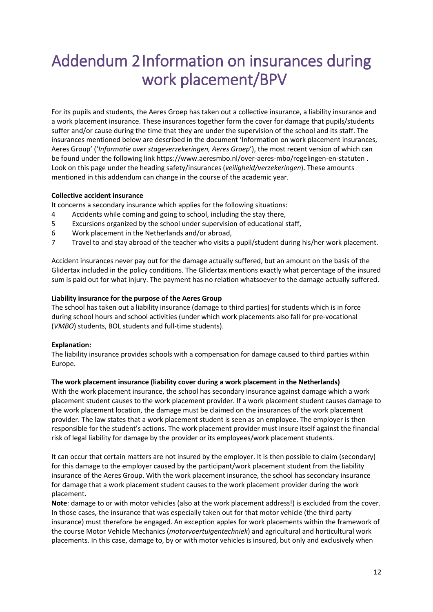# Addendum 2 Information on insurances during work placement/BPV

For its pupils and students, the Aeres Groep has taken out a collective insurance, a liability insurance and a work placement insurance. These insurances together form the cover for damage that pupils/students suffer and/or cause during the time that they are under the supervision of the school and its staff. The insurances mentioned below are described in the document 'Information on work placement insurances, Aeres Group' ('*Informatie over stageverzekeringen, Aeres Groep*'), the most recent version of which can be found under the following link <https://www.aeresmbo.nl/over-aeres-mbo/regelingen-en-statuten> . Look on this page under the heading safety/insurances (*veiligheid/verzekeringen*). These amounts mentioned in this addendum can change in the course of the academic year.

#### **Collective accident insurance**

It concerns a secondary insurance which applies for the following situations:

- 4 Accidents while coming and going to school, including the stay there,
- 5 Excursions organized by the school under supervision of educational staff,
- 6 Work placement in the Netherlands and/or abroad,
- 7 Travel to and stay abroad of the teacher who visits a pupil/student during his/her work placement.

Accident insurances never pay out for the damage actually suffered, but an amount on the basis of the Glidertax included in the policy conditions. The Glidertax mentions exactly what percentage of the insured sum is paid out for what injury. The payment has no relation whatsoever to the damage actually suffered.

#### **Liability insurance for the purpose of the Aeres Group**

The school has taken out a liability insurance (damage to third parties) for students which is in force during school hours and school activities (under which work placements also fall for pre-vocational (*VMBO*) students, BOL students and full-time students).

#### **Explanation:**

The liability insurance provides schools with a compensation for damage caused to third parties within Europe.

#### **The work placement insurance (liability cover during a work placement in the Netherlands)**

With the work placement insurance, the school has secondary insurance against damage which a work placement student causes to the work placement provider. If a work placement student causes damage to the work placement location, the damage must be claimed on the insurances of the work placement provider. The law states that a work placement student is seen as an employee. The employer is then responsible for the student's actions. The work placement provider must insure itself against the financial risk of legal liability for damage by the provider or its employees/work placement students.

It can occur that certain matters are not insured by the employer. It is then possible to claim (secondary) for this damage to the employer caused by the participant/work placement student from the liability insurance of the Aeres Group. With the work placement insurance, the school has secondary insurance for damage that a work placement student causes to the work placement provider during the work placement.

**Note**: damage to or with motor vehicles (also at the work placement address!) is excluded from the cover. In those cases, the insurance that was especially taken out for that motor vehicle (the third party insurance) must therefore be engaged. An exception apples for work placements within the framework of the course Motor Vehicle Mechanics (*motorvoertuigentechniek*) and agricultural and horticultural work placements. In this case, damage to, by or with motor vehicles is insured, but only and exclusively when